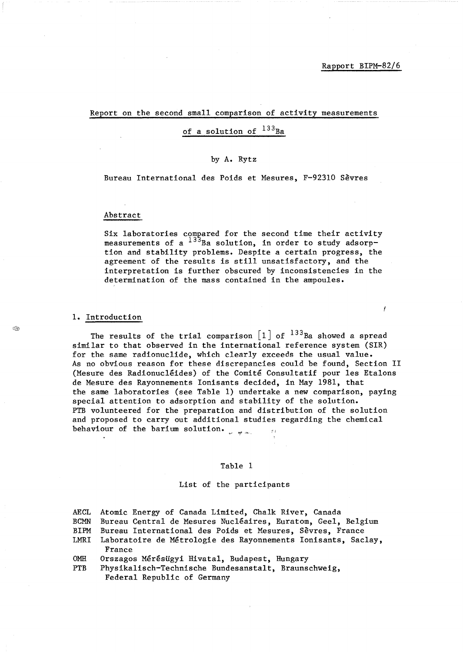Ĭ

#### Report on the second small comparison of activity measurements

# of a solution of  $^{133}$ Ba

#### by A. Rytz

Bureau International des Poids et Mesures, F-92310 Sevres

#### Abstract

Six laboratories compared for the second time their activity measurements of a  $133$ Ba solution, in order to study adsorption and stability problems. Despite a certain progress, the agreement of the results is still unsatisfactory, and the interpretation is further obscured by inconsistencies in the determination of the mass contained in the ampoules.

## 1. Introduction

The results of the trial comparison  $\begin{bmatrix} 1 \end{bmatrix}$  of  $^{133}$ Ba showed a spread similar to that observed in the international reference system (SIR) for the same radionuclide, which clearly exceeds the usual value. As no obvious reason for these discrepancies could be found, Section 11 (Mesure des Radionucléides) of the Comité Consultatif pour les Etalons de Mesure des Rayonnements Ionisants decided, in May 1981, that the same laboratories (see Table 1) undertake a new comparison, paying special attention to adsorption and stability of the solution. PTB volunteered for the preparation and distribution of the solution and proposed to carry out additional studies regarding the chemical behaviour of the barium solution.  $\hat{p}$  ).

#### Table 1

#### List of the participants

| AECL | Atomic Energy of Canada Limited, Chalk River, Canada                         |
|------|------------------------------------------------------------------------------|
| BCMN | Bureau Central de Mesures Nucléaires, Euratom, Geel, Belgium                 |
| BIPM | Bureau International des Poids et Mesures, Sèvres, France                    |
|      | LMRI Laboratoire de Métrologie des Rayonnements Ionisants, Saclay,<br>France |
| OMH  | Orszagos Mérésügyi Hivatal, Budapest, Hungary                                |
| PTB  | Physikalisch-Technische Bundesanstalt, Braunschweig,                         |
|      | Federal Republic of Germany                                                  |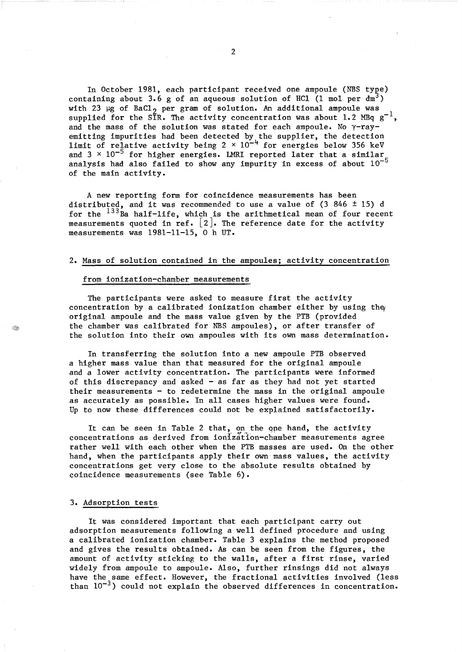In October 1981, each participant received one ampoule (NBS type) containing about 3.6 g of an aqueous solution of HCl (1 mol per  $dm<sup>3</sup>$ ) with 23  $\mu$ g of BaCl<sub>2</sub> per gram of solution. An additional ampoule was supplied for the SIR. The activity concentration was about 1.2 MBq  $g^{-1}$ , and the mass of the solution was stated for each ampoule. No  $\gamma$ -rayemitting impurities had been detected by the supplier, the detection limit of relative activity being  $2 \times 10^{-4}$  for energies below 356 keV and  $3 \times 10^{-5}$  for higher energies. LMRI reported later that a similar analysis had also failed to show any impurity in excess of about  $10^{-5}$ of the main activity.

A new reporting form for coincidence measurements has been distributed, and it was recommended to use a value of (3 846  $\pm$  15) d for the  $^{133}$ Ba half-life, which is the arithmetical mean of four recent measurements quoted in ref.  $\begin{bmatrix} 2 \end{bmatrix}$ . The reference date for the activity measurements was  $1981-11-15$ , 0 h UT.

#### 2. Mass of solution contained in the ampoules; activity concentration

#### from ionization-chamber measurements

The participants were asked to measure first the activity concentration by a calibrated ionization chamber either by using the original ampoule and the mass value given by the PTB (provided the chamber was calibrated for NBS ampoules), or after transfer of the solution into their own ampoules with its own mass determination.

In transferring the solution into a new ampoule PTB observed a higher mass value than that measured for the original ampoule and a lower activity concentration. The participants were informed of this discrepancy and asked  $-$  as far as they had not yet started their measurements  $-$  to redetermine the mass in the original ampoule as accurately as possible. In all cases higher values were found. Up to now these differences could not be explained satisfactorily.

It can be seen in Table 2 that, on the ope hand, the activity concentrations as derived from ionization-chamber measurements agree rather well with each other when the PTB masses are used. On the other hand, when the participants apply their own mass values, the activity concentrations get very close to the absolute results obtained by coincidence measurements (see Table 6).

#### 3. Adsorption tests

It was considered important that each participant carry out adsorption measurements following a well defined procedure and using a calibrated ionization chamber. Table 3 explains the method proposed and gives the results obtained. As can be seen from the figures, the amount of activity sticking to the walls, after a first rinse, varied widely from ampoule to ampoule. Also, further rinsings did not always have the same effect. However, the fractional activities involved (less than  $10^{-3}$ ) could not explain the observed differences in concentration.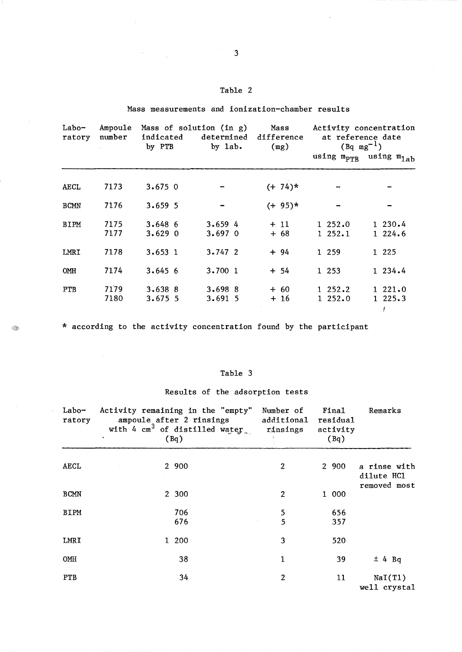## Table 2

Mass measurements and ionization-chamber results

 $\cdot$ 

Q.

 $\sim$ 

| Labo-<br>ratory | Ampoule<br>Mass of solution (in g)<br>number<br>indicated<br>by PTB<br>by $1ab$ . |                        | Mass<br>determined difference<br>(mg) | Activity concentration<br>at reference date<br>$(Bq mg^{-1})$<br>using m <sub>pTR</sub> using m <sub>lab</sub> |                      |                        |  |
|-----------------|-----------------------------------------------------------------------------------|------------------------|---------------------------------------|----------------------------------------------------------------------------------------------------------------|----------------------|------------------------|--|
|                 |                                                                                   |                        |                                       |                                                                                                                |                      |                        |  |
| AECL            | 7173                                                                              | $3.675$ 0              |                                       | $(+ 74)*$                                                                                                      |                      |                        |  |
| <b>BCMN</b>     | 7176                                                                              | $3.659$ 5              |                                       | $(+ 95)*$                                                                                                      |                      |                        |  |
| BIPM            | 7175<br>7177                                                                      | 3.6486<br>$3.629$ 0    | 3.6594<br>$3.697$ 0                   | $+11$<br>$+68$                                                                                                 | 1, 252.0<br>1, 252.1 | 1230.4<br>$1\ \ 224.6$ |  |
| LMRI            | 7178                                                                              | 3.6531                 | 3.7472                                | $+94$                                                                                                          | 1 2 5 9              | 1 225                  |  |
| OMII            | 7174                                                                              | 3.6456                 | 3.700 1                               | $+ 54$                                                                                                         | 1 253                | 1234.4                 |  |
| <b>PTB</b>      | 7179<br>7180                                                                      | $3.638$ 8<br>$3.675$ 5 | $3.698$ 8<br>3.6915                   | $+ 60$<br>$+16$                                                                                                | 1, 252.2<br>1252.0   | 1221.0<br>1225.3       |  |

\* according to the activity concentration found by the participant

## Table 3

# Results of the adsorption tests

| $Labo-$<br>ratory | Activity remaining in the "empty"<br>ampoule after 2 rinsings<br>with 4 $cm^3$ of distilled water.<br>(Bq) | Number of<br>additional<br>rinsings | Final<br>residual<br>activity<br>(Bq) | Remarks    |                                            |
|-------------------|------------------------------------------------------------------------------------------------------------|-------------------------------------|---------------------------------------|------------|--------------------------------------------|
| <b>AECL</b>       |                                                                                                            | 2 900                               | $\overline{2}$                        | 2 900      | a rinse with<br>dilute HC1<br>removed most |
| <b>BCMN</b>       |                                                                                                            | 2 300                               | $\overline{c}$                        | 1 000      |                                            |
| <b>BIPM</b>       |                                                                                                            | 706<br>676                          | 5<br>5                                | 656<br>357 |                                            |
| LMRI              |                                                                                                            | 1 200                               | 3                                     | 520        |                                            |
| OMH               |                                                                                                            | 38                                  | 1                                     | 39         | ± 4 Bq                                     |
| <b>PTB</b>        |                                                                                                            | 34                                  | $\overline{c}$                        | 11         | NaI(T1)<br>well crystal                    |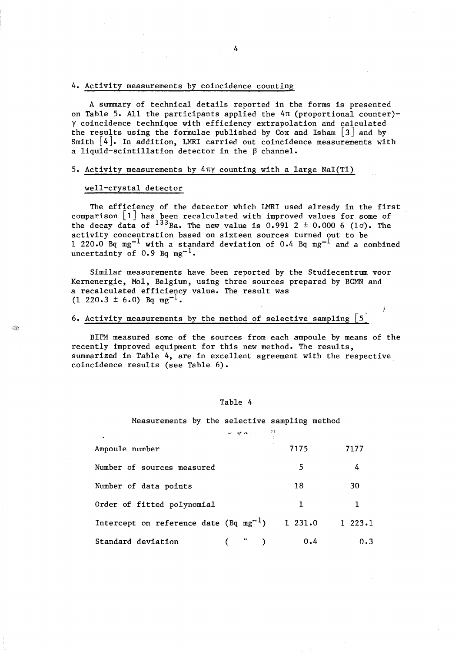#### 4. Activity measurements by coincidence counting

A summary of technical details reported in the forms is presented on Table 5. All the participants applied the  $4\pi$  (proportional counter)y coincidence technique with efficiency extrapolation and calculated the results using the formulae published by Cox and Isham  $\lfloor 3 \rfloor$  and by Smith  $|4|$ . In addition, LMRI carried out coincidence measurements with a liquid-scintillation detector in the  $\beta$  channel.

#### 5. Activity measurements by 4ny counting with a large NaI(Tl)

### well-crystal detector

Q.

The efficiency of the detector which LMRI used already in the first comparison  $\lfloor 1 \rfloor$  has been recalculated with improved values for some of the decay data of  $^{133}$ Ba. The new value is 0.991 2  $\pm$  0.000 6 (1 $\sigma$ ). The activity concentration based on sixteen sources turned out to be 1 220.0 Bq mg<sup>-1</sup> with a standard deviation of 0.4 Bq mg<sup>-1</sup> and a combined uncertainty of  $0.9$  Bq mg<sup>-1</sup>.

Similar measurements have been reported by the Studiecentrum voor Kernenergie, Mol, Belgium, using three sources prepared by BCMN and a recalculated efficiency value. The result was  $(1 \t220.3 \t\pm 6.0)$  Bq mg<sup>-1</sup>.

## 6. Activity measurements by the method of selective sampling  $\lceil 5 \rceil$

BIPM measured some of the sources from each ampoule by means of the recently improved equipment for this new method. The results, summarized in Table 4, are in excellent agreement with the respective coincidence results (see Table 6).

Ĭ

#### Table 4

Measurements by the selective sampling method

*-"J* "'! , ..... ,

 $\beta$  )

| Ampoule number                               | 7175   | 7177   |
|----------------------------------------------|--------|--------|
| Number of sources measured                   | 5      | 4      |
| Number of data points                        | 18     | 30     |
| Order of fitted polynomial                   | 1      | 1.     |
| Intercept on reference date ( $Bq mg^{-1}$ ) | 1231.0 | 1223.1 |
| Standard deviation<br>$\cdots$ )             | 0.4    | 0.3    |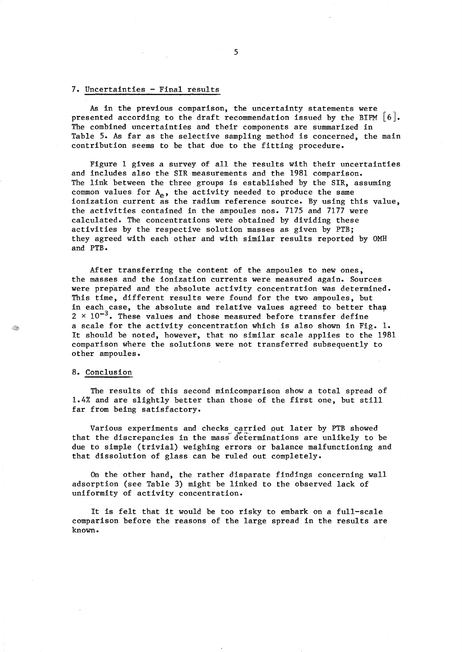#### 7. Uncertainties - Final results

As in the previous comparison, the uncertainty statements were presented according to the draft recommendation issued by the BIPM  $\lceil 6 \rceil$ . The combined uncertainties and their components are summarized in Table 5. As far as the selective sampling method is concerned, the main contribution seems to be that due to the fitting procedure.

Figure 1 gives a survey of all the results with their uncertainties and includes also the SIR measurements and the 1981 comparison. The link between the three groups is established by the SIR, assuming common values for  $A_{e}$ , the activity needed to produce the same ionization current as the radium reference source. By using this value, the activities contained in the ampoules nos. 7175 and 7177 were calculated. The concentrations were obtained by dividing these activities by the respective solution masses as given by PTB; they agreed with each other and with similar results reported by OMH and PTB.

After transferring the content of the ampoules to new ones, the masses and the ionization currents were measured again. Sources were prepared and the absolute activity concentration was determined. This time, different results were found for the two ampoules, but in each case, the absolute and relative values agreed to better tham  $2 \times 10^{-3}$ . These values and those measured before transfer define a scale for the activity concentration which is also shown in Fig. 1. It should be noted, however, that no similar scale applies to the 1981 comparison where the solutions were not transferred subsequently to other ampoules.

## 8. Conclusion

The results of this second minicomparison show a total spread of 1.4% and are slightly better than those of the first one, but still far from being satisfactory.

Various experiments and checks carried put later by PTB showed that the discrepancies in the mass determinations are unlikely to be due to simple (trivial) weighing errors or balance malfunctioning and that dissolution of glass can be ruled out completely.

On the other hand, the rather disparate findings concerning wall adsorption (see Table 3) might be linked to the observed lack of uniformity of activity concentration.

It is felt that it would be too risky to embark on a full-scale comparison before the reasons of the large spread in the results are known.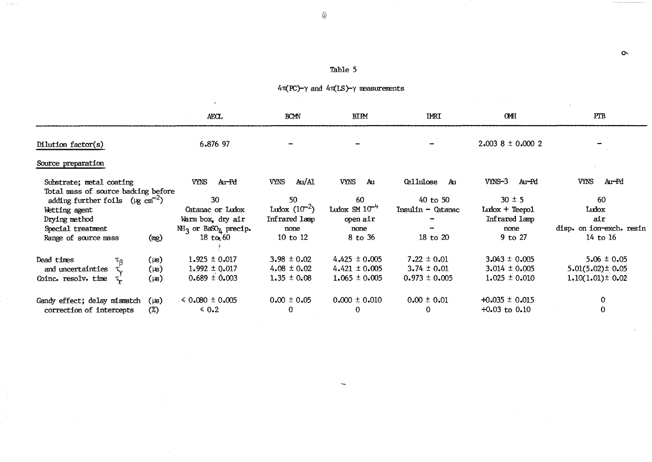# Table 5

 $\circledS$ 

السابي

|                                                                 |           | <b>AECL</b>                                      | <b>BCMN</b>         | <b>BIPM</b>        | <b>IMRI</b>            | <b>OMH</b>              | PTB                      |
|-----------------------------------------------------------------|-----------|--------------------------------------------------|---------------------|--------------------|------------------------|-------------------------|--------------------------|
| Dilution factor(s)                                              |           | 6.876 97                                         |                     |                    |                        | $2.003$ 8 $\pm$ 0.000 2 |                          |
| Source preparation                                              |           |                                                  |                     |                    |                        |                         |                          |
| Substrate; metal coating<br>Total mass of source backing before |           | VYNS<br>Au-Pd                                    | <b>VYNS</b><br>Au/M | <b>VYNS</b><br>Au  | <b>Cellulose</b><br>Au | $VNNS-3$<br>Au-Pd       | <b>VYNS</b><br>Au-Pd     |
| adding further foils ( $\mu$ g cm <sup>-2</sup> )               |           | 30                                               | 50                  | 60                 | $40$ to $50$           | $30 \pm 5$              | 60                       |
| Wetting agent                                                   |           | Catanac or Ludox                                 | Ludox $(10^{-2})$   | Ludox $SM 10^{-4}$ | Insulin - Catanac      | $Lubox + Teepo1$        | Ludox                    |
| Drying method                                                   |           | Warm box, dry air                                | Infrared lamp       | open air           |                        | Infrared 1amp           | air                      |
| Special treatment                                               |           | $MH_3$ or BaSO <sub><math>u</math></sub> precip. | none                | none               |                        | none                    | disp. on ion-exch. resin |
| Range of source mass                                            | (mg)      | 18 to $60$                                       | 10 to 12            | 8 to 36            | 18 to 20               | 9 to 27                 | 14 to 16                 |
| Dead times<br>$\tau_{\sf R}$                                    | $(\mu s)$ | $1.925 \pm 0.017$                                | $3.98 \pm 0.02$     | $4.425 \pm 0.005$  | $7.22 \pm 0.01$        | $3.043 \pm 0.005$       | $5.06 \pm 0.05$          |
| and uncertainties                                               | $(\mu s)$ | $1.992 \pm 0.017$                                | 4.08 $\pm$ 0.02     | $4.421 \pm 0.005$  | $3.74 \pm 0.01$        | $3.014 \pm 0.005$       | $5.01(5.02) \pm 0.05$    |
| Coinc. resolv. time                                             | $(\mu s)$ | $0.689 \pm 0.003$                                | $1.35 \pm 0.08$     | $1.065 \pm 0.005$  | $0.973 \pm 0.005$      | $1.025 \pm 0.010$       | $1.10(1.01) \pm 0.02$    |
| Gandy effect; delay mismatch                                    | $(\mu s)$ | $6.080 \pm 0.005$                                | $0.00 \pm 0.05$     | $0.000 \pm 0.010$  | $0.00 \pm 0.01$        | $+0.035 \pm 0.015$      | 0                        |
| correction of intercepts                                        | $(\%)$    | $\leq 0.2$                                       | 0                   | $\mathbf 0$        | 0                      | $+0.03$ to $0.10$       | 0                        |
|                                                                 |           |                                                  |                     |                    |                        |                         |                          |

 $\sigma$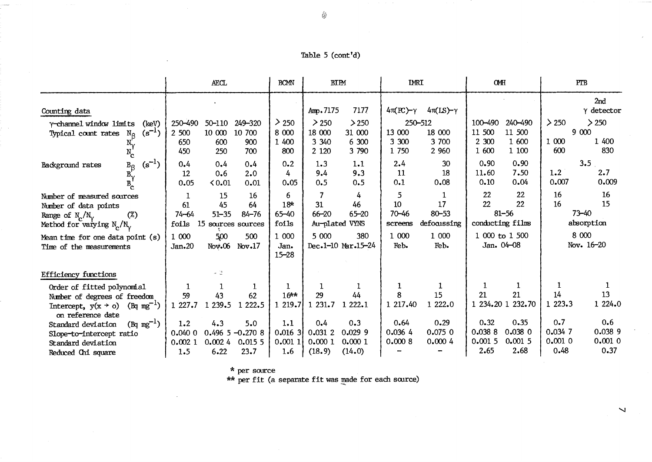|                                                                                                                                      | <b>AECL</b>                                                                                              | <b>BCMN</b>                                | <b>BIPM</b>                                                                 | <b>IMRI</b>                                                            | OMH                                                                        | PTB                                                                  |
|--------------------------------------------------------------------------------------------------------------------------------------|----------------------------------------------------------------------------------------------------------|--------------------------------------------|-----------------------------------------------------------------------------|------------------------------------------------------------------------|----------------------------------------------------------------------------|----------------------------------------------------------------------|
| Counting data                                                                                                                        |                                                                                                          |                                            | Amp. 7175<br>7177                                                           | $4\pi$ (PC)- $\gamma$<br>$4\pi(IS) - \gamma$                           |                                                                            | 2nd<br>$\gamma$ detector                                             |
| Y-channel window limits<br>(keV)<br>$(s^{-1})$<br>Typical count rates<br>$N_{\mathcal{Q}}$<br>$N_c$                                  | 249-320<br>250-490<br>50-110<br>10 000<br>10 700<br>2 500<br>600<br>900<br>650<br>700<br>450<br>250      | $\geq 250$<br>8 000<br>1 400<br>800        | > 250<br>> 250<br>18 000<br>31 000<br>3 3 4 0<br>6 300<br>2 1 2 0<br>3 790  | 250-512<br>13 000<br>18 000<br>3 300<br>3 700<br>1 750<br>2 9 6 0      | 100-490<br>240-490<br>11 500<br>11 500<br>2 300<br>1 600<br>1 600<br>1 100 | $\geq 250$<br>> 250<br>9 000<br>1 000<br>1 400<br>830<br>600         |
| $(s^{-1})$<br>$\begin{array}{c} B_{\beta} \\ B_{\gamma} \\ B_{\gamma} \end{array}$<br>Background rates                               | 0.4<br>0.4<br>0.4<br>2.0<br>12<br>0.6<br>0.05<br>0.01<br>0.01                                            | 0.2<br>4<br>0.05                           | 1.3<br>1.1<br>9.3<br>9.4<br>0.5<br>0.5                                      | 30<br>2.4<br>18<br>11<br>0.08<br>0.1                                   | 0.90<br>0.90<br>7.50<br>11.60<br>0.04<br>0.10                              | 3.5<br>2.7<br>1.2<br>0.007<br>0.009                                  |
| Number of measured sources<br>Number of data points<br>$(\%)$<br>Range of $N_c/N_v$<br>Method for varying $N_c/N_v$                  | 15<br>16<br>L<br>45<br>64<br>61<br>$51 - 35$<br>$84 - 76$<br>$74 - 64$<br>foils<br>15<br>sources sources | 6<br>18 <sup>k</sup><br>$65 - 40$<br>foils | $\overline{7}$<br>4<br>46<br>31<br>$66 - 20$<br>$65 - 20$<br>Au-plated VYNS | 5<br>1<br>10<br>17<br>$70 - 46$<br>$80 - 53$<br>defocussing<br>screens | 22<br>22<br>22<br>22<br>$81 - 56$<br>conducting films                      | 16<br>16<br>15<br>16<br>$73 - 40$<br>absorption                      |
| Mean time for one data point (s)<br>Time of the measurements                                                                         | 1 000<br>500<br>500<br>$\text{Nov.06}$<br>Jan.20<br>Nov.17                                               | 1 000<br>Jan.<br>$15 - 28$                 | 5 000<br>380<br>Dec.1-10 Mar.15-24                                          | 1 000<br>1 000<br>Feb.<br>Feb.                                         | 1 000 to 1 500<br>Jan. 04-08                                               | 8 000<br>Nov. 16-20                                                  |
| <b>Efficiency functions</b>                                                                                                          | $\omega$ - $\mathbb{Q}$                                                                                  |                                            |                                                                             |                                                                        |                                                                            |                                                                      |
| Order of fitted polynomial<br>Number of degrees of freedom<br>$(Bq mg^{-1})$<br>Intercept, $y(x \rightarrow o)$<br>on reference date | 1<br>43<br>62<br>59<br>1 2 2 2 . 5<br>1 239.5<br>1 227.7                                                 | $16**$<br>1219.7                           | 29<br>44<br>1 231.7<br>222.1                                                | 1<br>8<br>15<br>1 222.0<br>1 217.40                                    | 1<br>21<br>21<br>232.70<br>1 234.20 1                                      | 14<br>13<br>1 224.0<br>1 223.3                                       |
| $(Bq mg^{-1})$<br>Standard deviation<br>Slope-to-intercept ratio<br>Standard deviation<br>Reduced Chi square                         | 4.3<br>5.0<br>1.2<br>$0.496$ 5 $-0.270$ 8<br>0.0400<br>0.0155<br>0.0021<br>0.0024<br>6.22<br>23.7<br>1.5 | 1.1<br>$0.016$ 3<br>0.0011<br>1.6          | 0.3<br>0.4<br>0.02999<br>0.031 2<br>0.0001<br>0.0001<br>(14.0)<br>(18.9)    | 0.29<br>0.64<br>0.0750<br>0.0364<br>0.0008<br>0.0004                   | 0.32<br>0.35<br>0.0388<br>$0.038$ 0<br>0.0015<br>0.0015<br>2.65<br>2.68    | 0.7<br>0.6<br>0.038 9<br>0.034 7<br>0.0010<br>0.0010<br>0.37<br>0.48 |

\* per source

\*\* per fit (a separate fit was made for each source)

 $\overline{\phantom{0}}$ 

{~~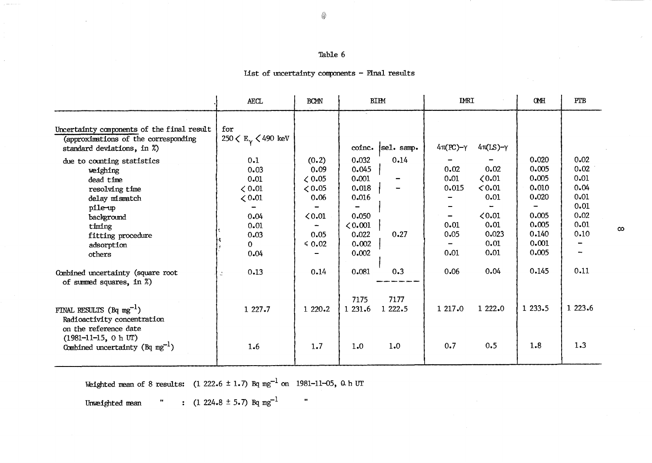## Table 6

# List of uncertainty components - Final results

|                                                                                                                                                                         | AECL<br><b>BCMN</b>                                                                           |                                                                                | <b>BIPM</b>                                                                              |                 | <b>IMRI</b>                                   |                                                                               | <b>CMH</b>                                                                             | PTB                                                                  |
|-------------------------------------------------------------------------------------------------------------------------------------------------------------------------|-----------------------------------------------------------------------------------------------|--------------------------------------------------------------------------------|------------------------------------------------------------------------------------------|-----------------|-----------------------------------------------|-------------------------------------------------------------------------------|----------------------------------------------------------------------------------------|----------------------------------------------------------------------|
| Uncertainty components of the final result<br>(approximations of the corresponding<br>standard deviations, in %)                                                        | for<br>250 $\langle E_{\gamma} \rangle$ 490 keV                                               |                                                                                | coinc.                                                                                   | sel. samp.      | $4\pi (PC)-\gamma$                            | $4\pi$ (LS)- $\gamma$                                                         |                                                                                        |                                                                      |
| due to counting statistics<br>weighing<br>dead time<br>resolving time<br>delay mismatch<br>pile-up<br>background<br>timing<br>fitting procedure<br>adsorption<br>others | 0.1<br>0.03<br>0.01<br>$\zeta 0.01$<br>< 0.01<br>0.04<br>0.01<br>0.03<br>$\mathbf{0}$<br>0.04 | (0.2)<br>0.09<br>$\zeta$ 0.05<br>< 0.05<br>0.06<br>0.01<br>0.05<br>$\leq 0.02$ | 0.032<br>0.045<br>0.001<br>0.018<br>0.016<br>0.050<br>< 0.001<br>0.022<br>0.002<br>0.002 | 0.14<br>0.27    | 0.02<br>0.01<br>0.015<br>0.01<br>0.05<br>0.01 | 0.02<br>$\zeta 0.01$<br>0.01<br>0.01<br>0.01<br>0.01<br>0.023<br>0.01<br>0.01 | 0.020<br>0.005<br>0.005<br>0.010<br>0.020<br>0.005<br>0.005<br>0.140<br>0.001<br>0.005 | 0.02<br>0.02<br>0.01<br>0.04<br>0.01<br>0.01<br>0.02<br>0.01<br>0.10 |
| Combined uncertainty (square root<br>of summed squares, in $\%)$                                                                                                        | 0.13                                                                                          | 0.14                                                                           | 0.081                                                                                    | 0.3             | 0.06                                          | 0.04                                                                          | 0.145                                                                                  | 0.11                                                                 |
| FINAL RESULTS (Bq mg <sup>-1</sup> )<br>Radioactivity concentration<br>on the reference date                                                                            | 1 227.7                                                                                       | 1 220.2                                                                        | 7175<br>1 231.6                                                                          | 7177<br>1 222.5 | 1 217.0                                       | 1 222.0                                                                       | 1233.5                                                                                 | 1 223.6                                                              |
| $(1981 - 11 - 15, 0 h \text{ UT})$<br>Combined uncertainty ( $Bq mg^{-1}$ )                                                                                             | 1.6                                                                                           | 1.7                                                                            | 1.0                                                                                      | 1.0             | 0.7                                           | 0.5                                                                           | 1.8                                                                                    | 1.3                                                                  |

 $\hat{\mathbf{u}}$ 

Weighted mean of 8 results:  $(1\ 222.6 \pm 1.7)$  Bq mg<sup>-1</sup> on 1981-11-05, 0 h UT

" :  $(1\ 224.8 \pm 5.7)$  Bq mg<sup>-1</sup> Unweighted mean

◈

 $\infty$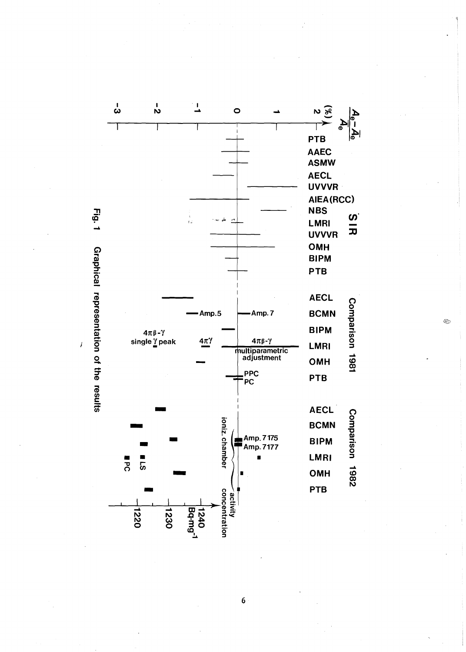Fig. 1 Graphical representation of the results